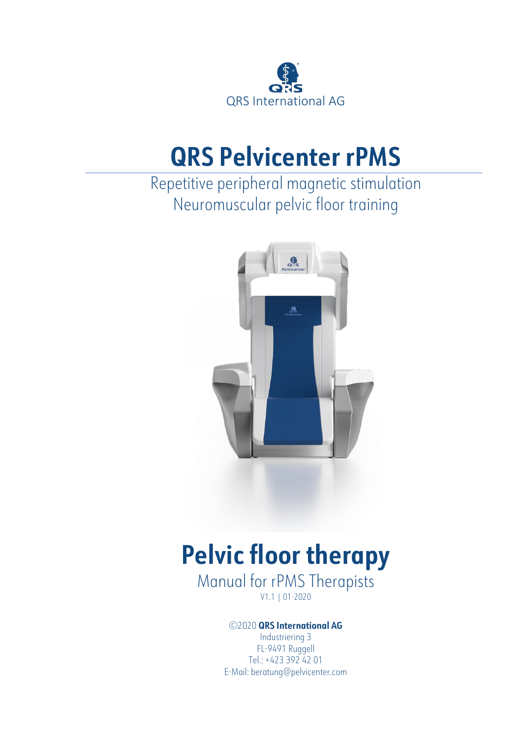

## **QRS Pelvicenter rPMS**

### Repetitive peripheral magnetic stimulation Neuromuscular pelvic floor training



# **Pelvic floor therapy**

Manual for rPMS Therapists V1.1 | 01-2020

#### ©2020 **QRS International AG**

Industriering 3 FL-9491 Ruggell Tel.: +423 392 42 01 E-Mail: beratung@pelvicenter.com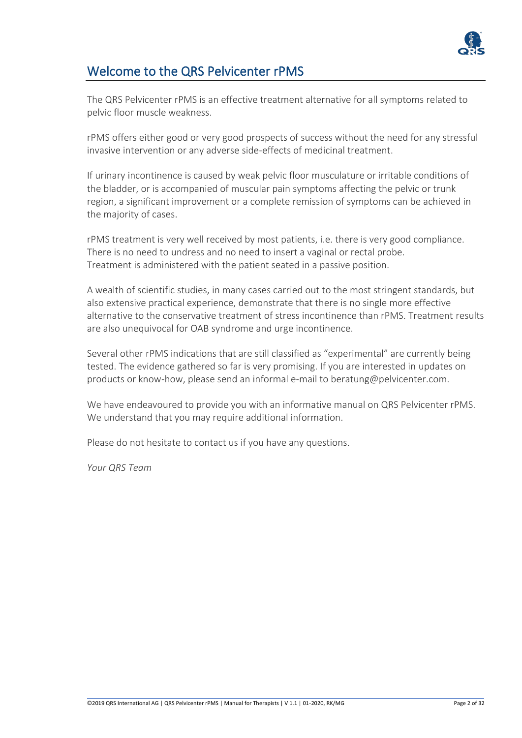

### Welcome to the QRS Pelvicenter rPMS

The QRS Pelvicenter rPMS is an effective treatment alternative for all symptoms related to pelvic floor muscle weakness.

rPMS offers either good or very good prospects of success without the need for any stressful invasive intervention or any adverse side-effects of medicinal treatment.

If urinary incontinence is caused by weak pelvic floor musculature or irritable conditions of the bladder, or is accompanied of muscular pain symptoms affecting the pelvic or trunk region, a significant improvement or a complete remission of symptoms can be achieved in the majority of cases.

rPMS treatment is very well received by most patients, i.e. there is very good compliance. There is no need to undress and no need to insert a vaginal or rectal probe. Treatment is administered with the patient seated in a passive position.

A wealth of scientific studies, in many cases carried out to the most stringent standards, but also extensive practical experience, demonstrate that there is no single more effective alternative to the conservative treatment of stress incontinence than rPMS. Treatment results are also unequivocal for OAB syndrome and urge incontinence.

Several other rPMS indications that are still classified as "experimental" are currently being tested. The evidence gathered so far is very promising. If you are interested in updates on products or know-how, please send an informal e-mail to beratung@pelvicenter.com.

We have endeavoured to provide you with an informative manual on QRS Pelvicenter rPMS. We understand that you may require additional information.

Please do not hesitate to contact us if you have any questions.

*Your QRS Team*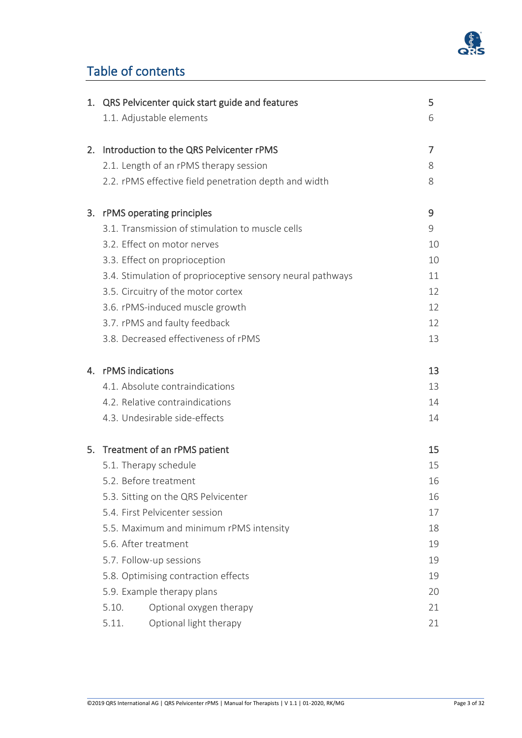

### Table of contents

|    | 1. QRS Pelvicenter quick start guide and features          | 5  |
|----|------------------------------------------------------------|----|
|    | 1.1. Adjustable elements                                   | 6  |
| 2. | Introduction to the QRS Pelvicenter rPMS                   | 7  |
|    | 2.1. Length of an rPMS therapy session                     | 8  |
|    | 2.2. rPMS effective field penetration depth and width      | 8  |
| 3. | rPMS operating principles                                  | 9  |
|    | 3.1. Transmission of stimulation to muscle cells           | 9  |
|    | 3.2. Effect on motor nerves                                | 10 |
|    | 3.3. Effect on proprioception                              | 10 |
|    | 3.4. Stimulation of proprioceptive sensory neural pathways | 11 |
|    | 3.5. Circuitry of the motor cortex                         | 12 |
|    | 3.6. rPMS-induced muscle growth                            | 12 |
|    | 3.7. rPMS and faulty feedback                              | 12 |
|    | 3.8. Decreased effectiveness of rPMS                       | 13 |
|    | 4. rPMS indications                                        | 13 |
|    | 4.1. Absolute contraindications                            | 13 |
|    | 4.2. Relative contraindications                            | 14 |
|    | 4.3. Undesirable side-effects                              | 14 |
|    | 5. Treatment of an rPMS patient                            | 15 |
|    | 5.1. Therapy schedule                                      | 15 |
|    | 5.2. Before treatment                                      | 16 |
|    | 5.3. Sitting on the QRS Pelvicenter                        | 16 |
|    | 5.4. First Pelvicenter session                             | 17 |
|    | 5.5. Maximum and minimum rPMS intensity                    | 18 |
|    | 5.6. After treatment                                       | 19 |
|    | 5.7. Follow-up sessions                                    | 19 |
|    | 5.8. Optimising contraction effects                        | 19 |
|    | 5.9. Example therapy plans                                 | 20 |
|    | Optional oxygen therapy<br>5.10.                           | 21 |
|    | Optional light therapy<br>5.11.                            | 21 |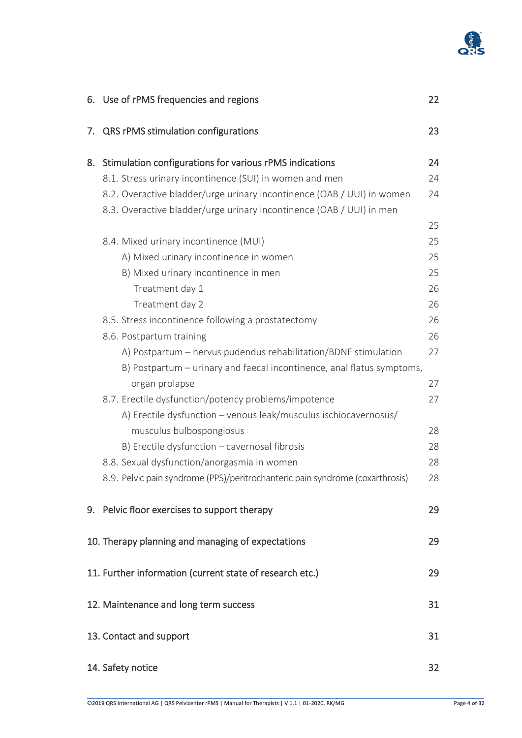

|    | 6. Use of rPMS frequencies and regions                                        | 22 |
|----|-------------------------------------------------------------------------------|----|
| 7. | QRS rPMS stimulation configurations                                           | 23 |
| 8. | Stimulation configurations for various rPMS indications                       | 24 |
|    | 8.1. Stress urinary incontinence (SUI) in women and men                       | 24 |
|    | 8.2. Overactive bladder/urge urinary incontinence (OAB / UUI) in women        | 24 |
|    | 8.3. Overactive bladder/urge urinary incontinence (OAB / UUI) in men          |    |
|    |                                                                               | 25 |
|    | 8.4. Mixed urinary incontinence (MUI)                                         | 25 |
|    | A) Mixed urinary incontinence in women                                        | 25 |
|    | B) Mixed urinary incontinence in men                                          | 25 |
|    | Treatment day 1                                                               | 26 |
|    | Treatment day 2                                                               | 26 |
|    | 8.5. Stress incontinence following a prostatectomy                            | 26 |
|    | 8.6. Postpartum training                                                      | 26 |
|    | A) Postpartum - nervus pudendus rehabilitation/BDNF stimulation               | 27 |
|    | B) Postpartum – urinary and faecal incontinence, anal flatus symptoms,        |    |
|    | organ prolapse                                                                | 27 |
|    | 8.7. Erectile dysfunction/potency problems/impotence                          | 27 |
|    | A) Erectile dysfunction - venous leak/musculus ischiocavernosus/              |    |
|    | musculus bulbospongiosus                                                      | 28 |
|    | B) Erectile dysfunction - cavernosal fibrosis                                 | 28 |
|    | 8.8. Sexual dysfunction/anorgasmia in women                                   | 28 |
|    | 8.9. Pelvic pain syndrome (PPS)/peritrochanteric pain syndrome (coxarthrosis) | 28 |
|    | 9. Pelvic floor exercises to support therapy                                  | 29 |
|    | 10. Therapy planning and managing of expectations                             | 29 |
|    | 11. Further information (current state of research etc.)                      | 29 |
|    | 12. Maintenance and long term success                                         | 31 |
|    | 13. Contact and support                                                       | 31 |
|    | 14. Safety notice                                                             | 32 |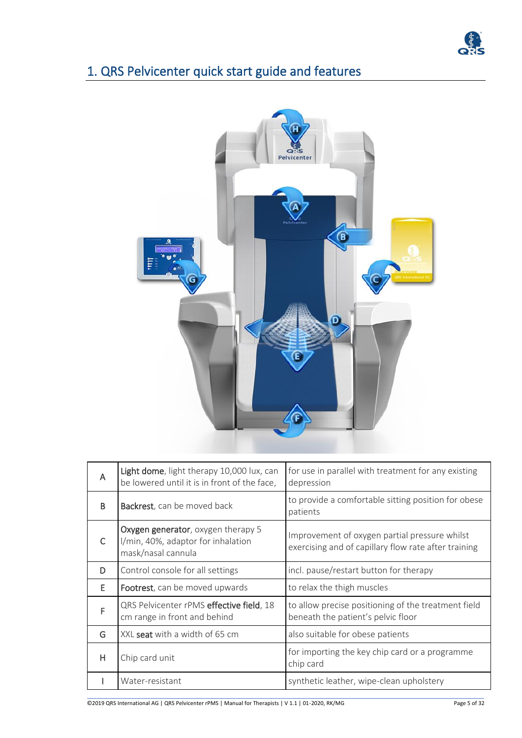

### 1. QRS Pelvicenter quick start guide and features



| A | Light dome, light therapy 10,000 lux, can<br>be lowered until it is in front of the face,      | for use in parallel with treatment for any existing<br>depression                                     |
|---|------------------------------------------------------------------------------------------------|-------------------------------------------------------------------------------------------------------|
| B | <b>Backrest</b> , can be moved back                                                            | to provide a comfortable sitting position for obese<br>patients                                       |
| C | Oxygen generator, oxygen therapy 5<br>I/min, 40%, adaptor for inhalation<br>mask/nasal cannula | Improvement of oxygen partial pressure whilst<br>exercising and of capillary flow rate after training |
| D | Control console for all settings                                                               | incl. pause/restart button for therapy                                                                |
| E | Footrest, can be moved upwards                                                                 | to relax the thigh muscles                                                                            |
| F | QRS Pelvicenter rPMS effective field, 18<br>cm range in front and behind                       | to allow precise positioning of the treatment field<br>beneath the patient's pelvic floor             |
| G | XXL seat with a width of 65 cm                                                                 | also suitable for obese patients                                                                      |
| H | Chip card unit                                                                                 | for importing the key chip card or a programme<br>chip card                                           |
|   | Water-resistant                                                                                | synthetic leather, wipe-clean upholstery                                                              |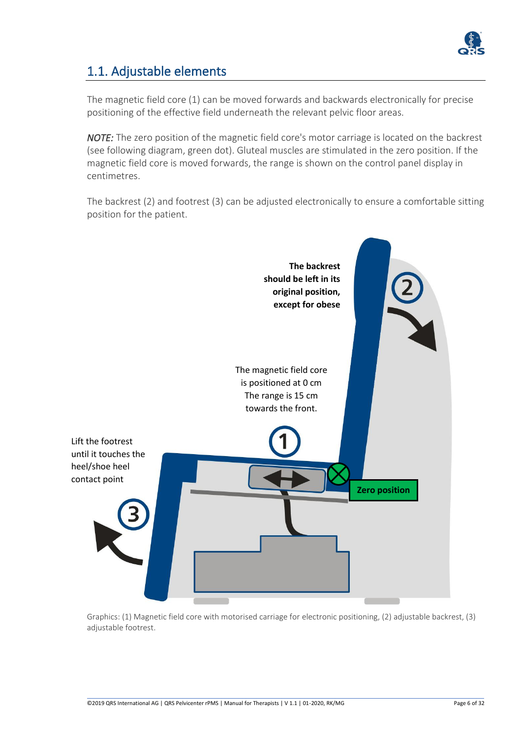

### 1.1. Adjustable elements

The magnetic field core (1) can be moved forwards and backwards electronically for precise positioning of the effective field underneath the relevant pelvic floor areas.

*NOTE:* The zero position of the magnetic field core's motor carriage is located on the backrest (see following diagram, green dot). Gluteal muscles are stimulated in the zero position. If the magnetic field core is moved forwards, the range is shown on the control panel display in centimetres.

The backrest (2) and footrest (3) can be adjusted electronically to ensure a comfortable sitting position for the patient.



Graphics: (1) Magnetic field core with motorised carriage for electronic positioning, (2) adjustable backrest, (3) adjustable footrest.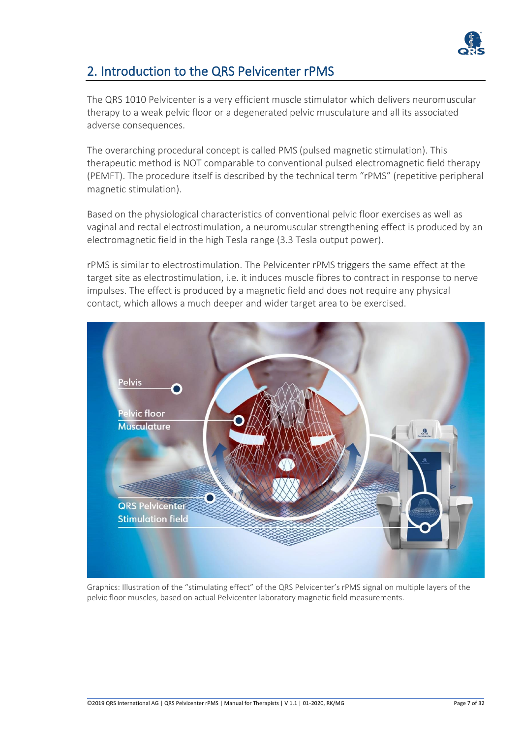

### 2. Introduction to the QRS Pelvicenter rPMS

The QRS 1010 Pelvicenter is a very efficient muscle stimulator which delivers neuromuscular therapy to a weak pelvic floor or a degenerated pelvic musculature and all its associated adverse consequences.

The overarching procedural concept is called PMS (pulsed magnetic stimulation). This therapeutic method is NOT comparable to conventional pulsed electromagnetic field therapy (PEMFT). The procedure itself is described by the technical term "rPMS" (repetitive peripheral magnetic stimulation).

Based on the physiological characteristics of conventional pelvic floor exercises as well as vaginal and rectal electrostimulation, a neuromuscular strengthening effect is produced by an electromagnetic field in the high Tesla range (3.3 Tesla output power).

rPMS is similar to electrostimulation. The Pelvicenter rPMS triggers the same effect at the target site as electrostimulation, i.e. it induces muscle fibres to contract in response to nerve impulses. The effect is produced by a magnetic field and does not require any physical contact, which allows a much deeper and wider target area to be exercised.



Graphics: Illustration of the "stimulating effect" of the QRS Pelvicenter's rPMS signal on multiple layers of the pelvic floor muscles, based on actual Pelvicenter laboratory magnetic field measurements.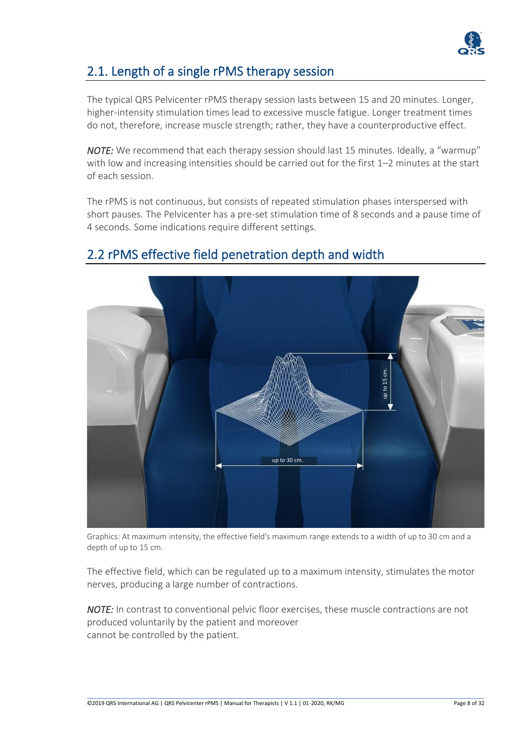

### 2.1. Length of a single rPMS therapy session

The typical QRS Pelvicenter rPMS therapy session lasts between 15 and 20 minutes. Longer, higher-intensity stimulation times lead to excessive muscle fatigue. Longer treatment times do not, therefore, increase muscle strength; rather, they have a counterproductive effect.

*NOTE:* We recommend that each therapy session should last 15 minutes. Ideally, a "warmup" with low and increasing intensities should be carried out for the first 1–2 minutes at the start of each session.

The rPMS is not continuous, but consists of repeated stimulation phases interspersed with short pauses. The Pelvicenter has a pre-set stimulation time of 8 seconds and a pause time of 4 seconds. Some indications require different settings.



### 2.2 rPMS effective field penetration depth and width

Graphics: At maximum intensity, the effective field's maximum range extends to a width of up to 30 cm and a depth of up to 15 cm.

The effective field, which can be regulated up to a maximum intensity, stimulates the motor nerves, producing a large number of contractions.

*NOTE:* In contrast to conventional pelvic floor exercises, these muscle contractions are not produced voluntarily by the patient and moreover cannot be controlled by the patient.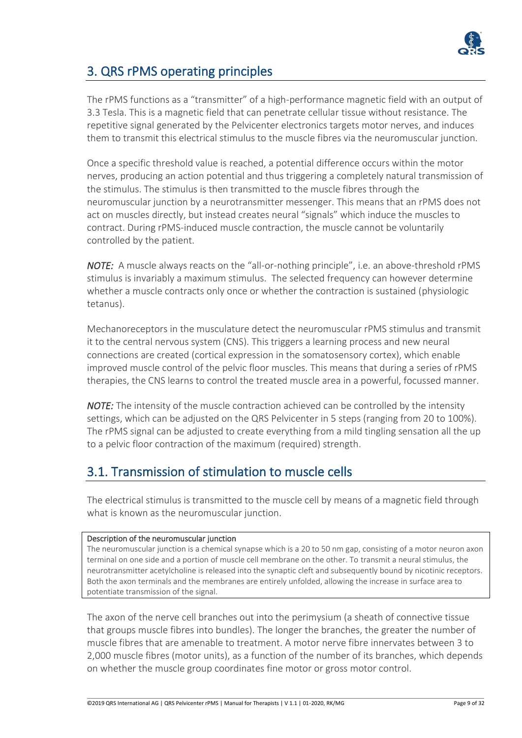

### 3. QRS rPMS operating principles

The rPMS functions as a "transmitter" of a high-performance magnetic field with an output of 3.3 Tesla. This is a magnetic field that can penetrate cellular tissue without resistance. The repetitive signal generated by the Pelvicenter electronics targets motor nerves, and induces them to transmit this electrical stimulus to the muscle fibres via the neuromuscular junction.

Once a specific threshold value is reached, a potential difference occurs within the motor nerves, producing an action potential and thus triggering a completely natural transmission of the stimulus. The stimulus is then transmitted to the muscle fibres through the neuromuscular junction by a neurotransmitter messenger. This means that an rPMS does not act on muscles directly, but instead creates neural "signals" which induce the muscles to contract. During rPMS-induced muscle contraction, the muscle cannot be voluntarily controlled by the patient.

*NOTE:* A muscle always reacts on the "all-or-nothing principle", i.e. an above-threshold rPMS stimulus is invariably a maximum stimulus. The selected frequency can however determine whether a muscle contracts only once or whether the contraction is sustained (physiologic tetanus).

Mechanoreceptors in the musculature detect the neuromuscular rPMS stimulus and transmit it to the central nervous system (CNS). This triggers a learning process and new neural connections are created (cortical expression in the somatosensory cortex), which enable improved muscle control of the pelvic floor muscles. This means that during a series of rPMS therapies, the CNS learns to control the treated muscle area in a powerful, focussed manner.

*NOTE:* The intensity of the muscle contraction achieved can be controlled by the intensity settings, which can be adjusted on the QRS Pelvicenter in 5 steps (ranging from 20 to 100%). The rPMS signal can be adjusted to create everything from a mild tingling sensation all the up to a pelvic floor contraction of the maximum (required) strength.

### 3.1. Transmission of stimulation to muscle cells

The electrical stimulus is transmitted to the muscle cell by means of a magnetic field through what is known as the neuromuscular junction.

#### Description of the neuromuscular junction

The neuromuscular junction is a chemical synapse which is a 20 to 50 nm gap, consisting of a motor neuron axon terminal on one side and a portion of muscle cell membrane on the other. To transmit a neural stimulus, the neurotransmitter acetylcholine is released into the synaptic cleft and subsequently bound by nicotinic receptors. Both the axon terminals and the membranes are entirely unfolded, allowing the increase in surface area to potentiate transmission of the signal.

The axon of the nerve cell branches out into the perimysium (a sheath of connective tissue that groups muscle fibres into bundles). The longer the branches, the greater the number of muscle fibres that are amenable to treatment. A motor nerve fibre innervates between 3 to 2,000 muscle fibres (motor units), as a function of the number of its branches, which depends on whether the muscle group coordinates fine motor or gross motor control.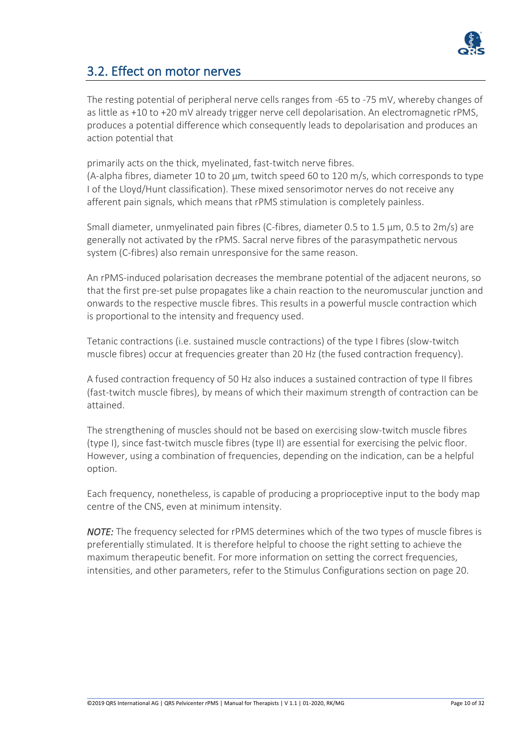

### 3.2. Effect on motor nerves

The resting potential of peripheral nerve cells ranges from -65 to -75 mV, whereby changes of as little as +10 to +20 mV already trigger nerve cell depolarisation. An electromagnetic rPMS, produces a potential difference which consequently leads to depolarisation and produces an action potential that

primarily acts on the thick, myelinated, fast-twitch nerve fibres.

(A-alpha fibres, diameter 10 to 20  $\mu$ m, twitch speed 60 to 120 m/s, which corresponds to type I of the Lloyd/Hunt classification). These mixed sensorimotor nerves do not receive any afferent pain signals, which means that rPMS stimulation is completely painless.

Small diameter, unmyelinated pain fibres (C-fibres, diameter 0.5 to 1.5  $\mu$ m, 0.5 to 2m/s) are generally not activated by the rPMS. Sacral nerve fibres of the parasympathetic nervous system (C-fibres) also remain unresponsive for the same reason.

An rPMS-induced polarisation decreases the membrane potential of the adjacent neurons, so that the first pre-set pulse propagates like a chain reaction to the neuromuscular junction and onwards to the respective muscle fibres. This results in a powerful muscle contraction which is proportional to the intensity and frequency used.

Tetanic contractions (i.e. sustained muscle contractions) of the type I fibres (slow-twitch muscle fibres) occur at frequencies greater than 20 Hz (the fused contraction frequency).

A fused contraction frequency of 50 Hz also induces a sustained contraction of type II fibres (fast-twitch muscle fibres), by means of which their maximum strength of contraction can be attained.

The strengthening of muscles should not be based on exercising slow-twitch muscle fibres (type I), since fast-twitch muscle fibres (type II) are essential for exercising the pelvic floor. However, using a combination of frequencies, depending on the indication, can be a helpful option.

Each frequency, nonetheless, is capable of producing a proprioceptive input to the body map centre of the CNS, even at minimum intensity.

*NOTE:* The frequency selected for rPMS determines which of the two types of muscle fibres is preferentially stimulated. It is therefore helpful to choose the right setting to achieve the maximum therapeutic benefit. For more information on setting the correct frequencies, intensities, and other parameters, refer to the Stimulus Configurations section on page 20.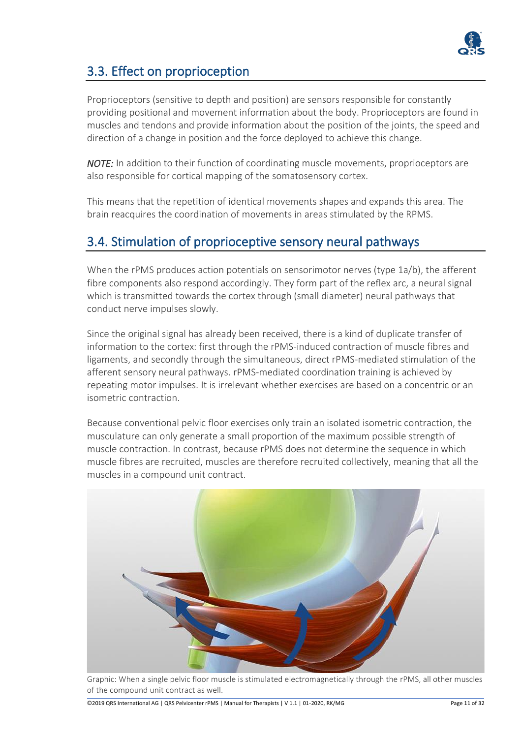

### 3.3. Effect on proprioception

Proprioceptors (sensitive to depth and position) are sensors responsible for constantly providing positional and movement information about the body. Proprioceptors are found in muscles and tendons and provide information about the position of the joints, the speed and direction of a change in position and the force deployed to achieve this change.

*NOTE:* In addition to their function of coordinating muscle movements, proprioceptors are also responsible for cortical mapping of the somatosensory cortex.

This means that the repetition of identical movements shapes and expands this area. The brain reacquires the coordination of movements in areas stimulated by the RPMS.

### 3.4. Stimulation of proprioceptive sensory neural pathways

When the rPMS produces action potentials on sensorimotor nerves (type 1a/b), the afferent fibre components also respond accordingly. They form part of the reflex arc, a neural signal which is transmitted towards the cortex through (small diameter) neural pathways that conduct nerve impulses slowly.

Since the original signal has already been received, there is a kind of duplicate transfer of information to the cortex: first through the rPMS-induced contraction of muscle fibres and ligaments, and secondly through the simultaneous, direct rPMS-mediated stimulation of the afferent sensory neural pathways. rPMS-mediated coordination training is achieved by repeating motor impulses. It is irrelevant whether exercises are based on a concentric or an isometric contraction.

Because conventional pelvic floor exercises only train an isolated isometric contraction, the musculature can only generate a small proportion of the maximum possible strength of muscle contraction. In contrast, because rPMS does not determine the sequence in which muscle fibres are recruited, muscles are therefore recruited collectively, meaning that all the muscles in a compound unit contract.



Graphic: When a single pelvic floor muscle is stimulated electromagnetically through the rPMS, all other muscles of the compound unit contract as well.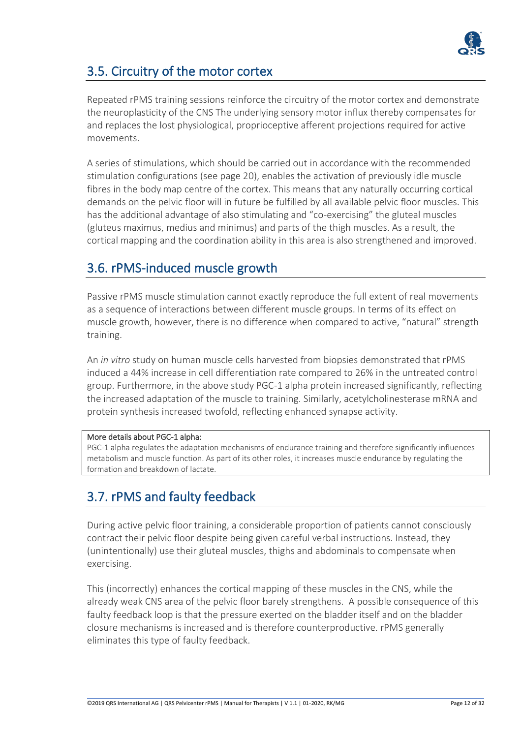

### 3.5. Circuitry of the motor cortex

Repeated rPMS training sessions reinforce the circuitry of the motor cortex and demonstrate the neuroplasticity of the CNS The underlying sensory motor influx thereby compensates for and replaces the lost physiological, proprioceptive afferent projections required for active movements.

A series of stimulations, which should be carried out in accordance with the recommended stimulation configurations (see page 20), enables the activation of previously idle muscle fibres in the body map centre of the cortex. This means that any naturally occurring cortical demands on the pelvic floor will in future be fulfilled by all available pelvic floor muscles. This has the additional advantage of also stimulating and "co-exercising" the gluteal muscles (gluteus maximus, medius and minimus) and parts of the thigh muscles. As a result, the cortical mapping and the coordination ability in this area is also strengthened and improved.

### 3.6. rPMS-induced muscle growth

Passive rPMS muscle stimulation cannot exactly reproduce the full extent of real movements as a sequence of interactions between different muscle groups. In terms of its effect on muscle growth, however, there is no difference when compared to active, "natural" strength training.

An *in vitro* study on human muscle cells harvested from biopsies demonstrated that rPMS induced a 44% increase in cell differentiation rate compared to 26% in the untreated control group. Furthermore, in the above study PGC-1 alpha protein increased significantly, reflecting the increased adaptation of the muscle to training. Similarly, acetylcholinesterase mRNA and protein synthesis increased twofold, reflecting enhanced synapse activity.

#### More details about PGC-1 alpha:

PGC-1 alpha regulates the adaptation mechanisms of endurance training and therefore significantly influences metabolism and muscle function. As part of its other roles, it increases muscle endurance by regulating the formation and breakdown of lactate.

### 3.7. rPMS and faulty feedback

During active pelvic floor training, a considerable proportion of patients cannot consciously contract their pelvic floor despite being given careful verbal instructions. Instead, they (unintentionally) use their gluteal muscles, thighs and abdominals to compensate when exercising.

This (incorrectly) enhances the cortical mapping of these muscles in the CNS, while the already weak CNS area of the pelvic floor barely strengthens. A possible consequence of this faulty feedback loop is that the pressure exerted on the bladder itself and on the bladder closure mechanisms is increased and is therefore counterproductive. rPMS generally eliminates this type of faulty feedback.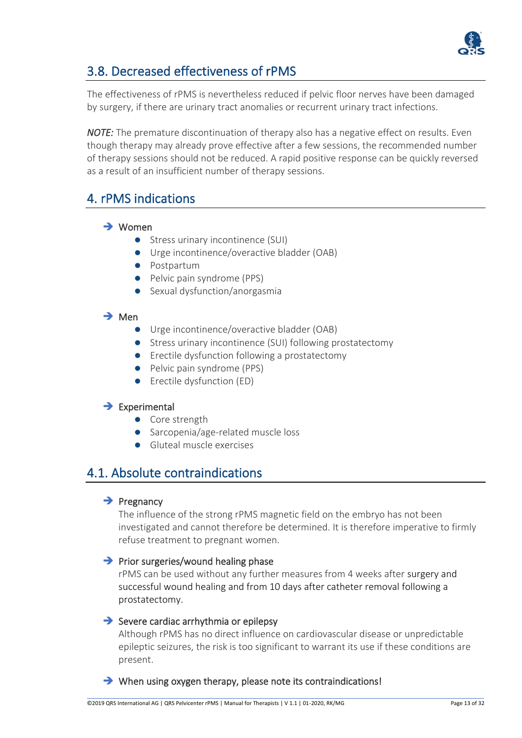

### 3.8. Decreased effectiveness of rPMS

The effectiveness of rPMS is nevertheless reduced if pelvic floor nerves have been damaged by surgery, if there are urinary tract anomalies or recurrent urinary tract infections.

*NOTE:* The premature discontinuation of therapy also has a negative effect on results. Even though therapy may already prove effective after a few sessions, the recommended number of therapy sessions should not be reduced. A rapid positive response can be quickly reversed as a result of an insufficient number of therapy sessions.

### 4. rPMS indications

#### ➔ Women

- Stress urinary incontinence (SUI)
- Urge incontinence/overactive bladder (OAB)
- ⚫ Postpartum
- Pelvic pain syndrome (PPS)
- Sexual dysfunction/anorgasmia

#### ➔ Men

- Urge incontinence/overactive bladder (OAB)
- Stress urinary incontinence (SUI) following prostatectomy
- Erectile dysfunction following a prostatectomy
- Pelvic pain syndrome (PPS)
- Erectile dysfunction (ED)

#### ➔ Experimental

- ⚫ Core strength
- Sarcopenia/age-related muscle loss
- ⚫ Gluteal muscle exercises

#### 4.1. Absolute contraindications

#### **→** Pregnancy

The influence of the strong rPMS magnetic field on the embryo has not been investigated and cannot therefore be determined. It is therefore imperative to firmly refuse treatment to pregnant women.

#### **→** Prior surgeries/wound healing phase

rPMS can be used without any further measures from 4 weeks after surgery and successful wound healing and from 10 days after catheter removal following a prostatectomy.

#### **→** Severe cardiac arrhythmia or epilepsy

Although rPMS has no direct influence on cardiovascular disease or unpredictable epileptic seizures, the risk is too significant to warrant its use if these conditions are present.

➔ When using oxygen therapy, please note its contraindications!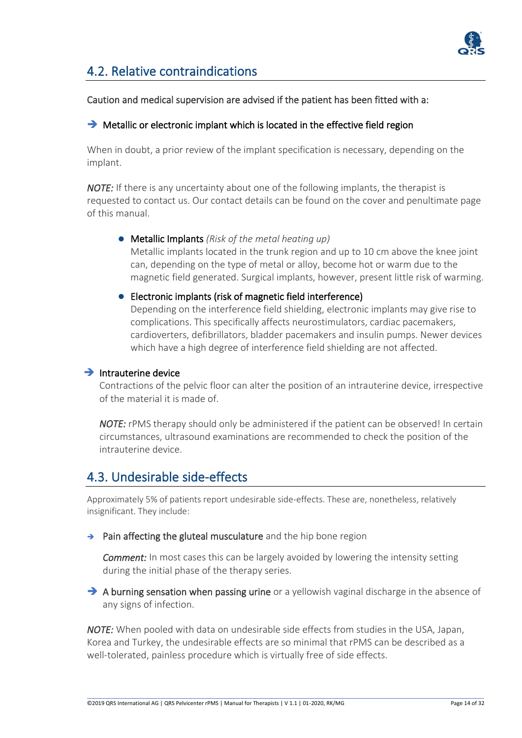

### 4.2. Relative contraindications

#### Caution and medical supervision are advised if the patient has been fitted with a:

#### **→** Metallic or electronic implant which is located in the effective field region

When in doubt, a prior review of the implant specification is necessary, depending on the implant.

*NOTE:* If there is any uncertainty about one of the following implants, the therapist is requested to contact us. Our contact details can be found on the cover and penultimate page of this manual.

#### ⚫ Metallic Implants *(Risk of the metal heating up)*

Metallic implants located in the trunk region and up to 10 cm above the knee joint can, depending on the type of metal or alloy, become hot or warm due to the magnetic field generated. Surgical implants, however, present little risk of warming.

#### ● Electronic implants (risk of magnetic field interference)

Depending on the interference field shielding, electronic implants may give rise to complications. This specifically affects neurostimulators, cardiac pacemakers, cardioverters, defibrillators, bladder pacemakers and insulin pumps. Newer devices which have a high degree of interference field shielding are not affected.

#### $\rightarrow$  Intrauterine device

Contractions of the pelvic floor can alter the position of an intrauterine device, irrespective of the material it is made of.

*NOTE:* rPMS therapy should only be administered if the patient can be observed! In certain circumstances, ultrasound examinations are recommended to check the position of the intrauterine device.

### 4.3. Undesirable side-effects

Approximately 5% of patients report undesirable side-effects. These are, nonetheless, relatively insignificant. They include:

→ Pain affecting the gluteal musculature and the hip bone region

*Comment:* In most cases this can be largely avoided by lowering the intensity setting during the initial phase of the therapy series.

→ A burning sensation when passing urine or a yellowish vaginal discharge in the absence of any signs of infection.

*NOTE:* When pooled with data on undesirable side effects from studies in the USA, Japan, Korea and Turkey, the undesirable effects are so minimal that rPMS can be described as a well-tolerated, painless procedure which is virtually free of side effects.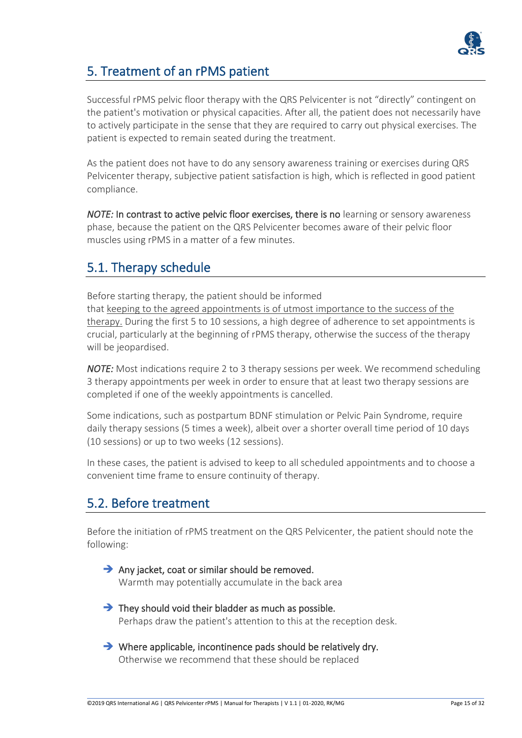

### 5. Treatment of an rPMS patient

Successful rPMS pelvic floor therapy with the QRS Pelvicenter is not "directly" contingent on the patient's motivation or physical capacities. After all, the patient does not necessarily have to actively participate in the sense that they are required to carry out physical exercises. The patient is expected to remain seated during the treatment.

As the patient does not have to do any sensory awareness training or exercises during QRS Pelvicenter therapy, subjective patient satisfaction is high, which is reflected in good patient compliance.

*NOTE:* In contrast to active pelvic floor exercises, there is no learning or sensory awareness phase, because the patient on the QRS Pelvicenter becomes aware of their pelvic floor muscles using rPMS in a matter of a few minutes.

### 5.1. Therapy schedule

Before starting therapy, the patient should be informed that keeping to the agreed appointments is of utmost importance to the success of the therapy. During the first 5 to 10 sessions, a high degree of adherence to set appointments is crucial, particularly at the beginning of rPMS therapy, otherwise the success of the therapy will be jeopardised.

*NOTE:* Most indications require 2 to 3 therapy sessions per week. We recommend scheduling 3 therapy appointments per week in order to ensure that at least two therapy sessions are completed if one of the weekly appointments is cancelled.

Some indications, such as postpartum BDNF stimulation or Pelvic Pain Syndrome, require daily therapy sessions (5 times a week), albeit over a shorter overall time period of 10 days (10 sessions) or up to two weeks (12 sessions).

In these cases, the patient is advised to keep to all scheduled appointments and to choose a convenient time frame to ensure continuity of therapy.

### 5.2. Before treatment

Before the initiation of rPMS treatment on the QRS Pelvicenter, the patient should note the following:

- **→** Any jacket, coat or similar should be removed. Warmth may potentially accumulate in the back area
- $\rightarrow$  They should void their bladder as much as possible. Perhaps draw the patient's attention to this at the reception desk.
- $\rightarrow$  Where applicable, incontinence pads should be relatively dry. Otherwise we recommend that these should be replaced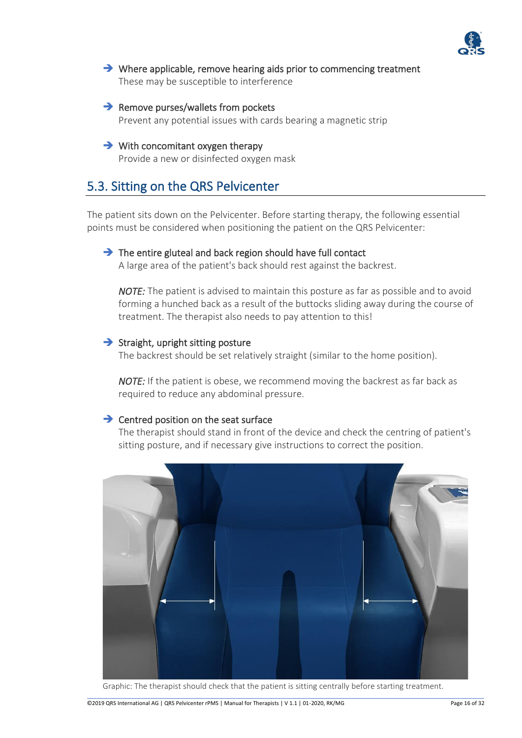

- **→** Where applicable, remove hearing aids prior to commencing treatment These may be susceptible to interference
- $\rightarrow$  Remove purses/wallets from pockets Prevent any potential issues with cards bearing a magnetic strip
- **→** With concomitant oxygen therapy Provide a new or disinfected oxygen mask

### 5.3. Sitting on the QRS Pelvicenter

The patient sits down on the Pelvicenter. Before starting therapy, the following essential points must be considered when positioning the patient on the QRS Pelvicenter:

#### $\rightarrow$  The entire gluteal and back region should have full contact

A large area of the patient's back should rest against the backrest.

*NOTE:* The patient is advised to maintain this posture as far as possible and to avoid forming a hunched back as a result of the buttocks sliding away during the course of treatment. The therapist also needs to pay attention to this!

#### $\rightarrow$  Straight, upright sitting posture

The backrest should be set relatively straight (similar to the home position).

*NOTE:* If the patient is obese, we recommend moving the backrest as far back as required to reduce any abdominal pressure.

#### **→** Centred position on the seat surface

The therapist should stand in front of the device and check the centring of patient's sitting posture, and if necessary give instructions to correct the position.



Graphic: The therapist should check that the patient is sitting centrally before starting treatment.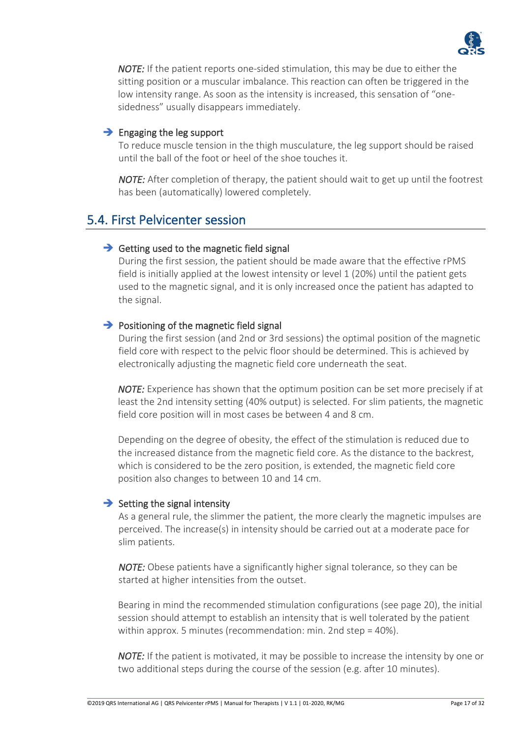

*NOTE:* If the patient reports one-sided stimulation, this may be due to either the sitting position or a muscular imbalance. This reaction can often be triggered in the low intensity range. As soon as the intensity is increased, this sensation of "onesidedness" usually disappears immediately.

#### $\rightarrow$  Engaging the leg support

To reduce muscle tension in the thigh musculature, the leg support should be raised until the ball of the foot or heel of the shoe touches it.

*NOTE:* After completion of therapy, the patient should wait to get up until the footrest has been (automatically) lowered completely.

### 5.4. First Pelvicenter session

#### $\rightarrow$  Getting used to the magnetic field signal

During the first session, the patient should be made aware that the effective rPMS field is initially applied at the lowest intensity or level 1 (20%) until the patient gets used to the magnetic signal, and it is only increased once the patient has adapted to the signal.

#### $\rightarrow$  Positioning of the magnetic field signal

During the first session (and 2nd or 3rd sessions) the optimal position of the magnetic field core with respect to the pelvic floor should be determined. This is achieved by electronically adjusting the magnetic field core underneath the seat.

*NOTE:* Experience has shown that the optimum position can be set more precisely if at least the 2nd intensity setting (40% output) is selected. For slim patients, the magnetic field core position will in most cases be between 4 and 8 cm.

Depending on the degree of obesity, the effect of the stimulation is reduced due to the increased distance from the magnetic field core. As the distance to the backrest, which is considered to be the zero position, is extended, the magnetic field core position also changes to between 10 and 14 cm.

#### $\rightarrow$  Setting the signal intensity

As a general rule, the slimmer the patient, the more clearly the magnetic impulses are perceived. The increase(s) in intensity should be carried out at a moderate pace for slim patients.

*NOTE:* Obese patients have a significantly higher signal tolerance, so they can be started at higher intensities from the outset.

Bearing in mind the recommended stimulation configurations (see page 20), the initial session should attempt to establish an intensity that is well tolerated by the patient within approx. 5 minutes (recommendation: min. 2nd step = 40%).

*NOTE:* If the patient is motivated, it may be possible to increase the intensity by one or two additional steps during the course of the session (e.g. after 10 minutes).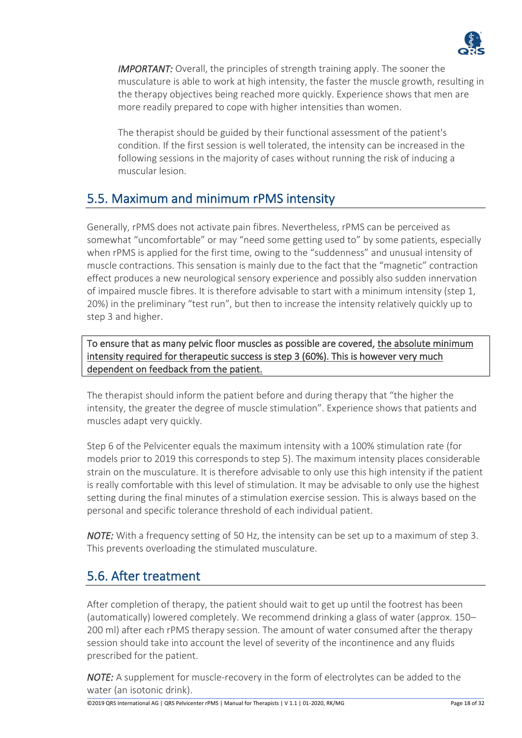

*IMPORTANT:* Overall, the principles of strength training apply. The sooner the musculature is able to work at high intensity, the faster the muscle growth, resulting in the therapy objectives being reached more quickly. Experience shows that men are more readily prepared to cope with higher intensities than women.

The therapist should be guided by their functional assessment of the patient's condition. If the first session is well tolerated, the intensity can be increased in the following sessions in the majority of cases without running the risk of inducing a muscular lesion.

### 5.5. Maximum and minimum rPMS intensity

Generally, rPMS does not activate pain fibres. Nevertheless, rPMS can be perceived as somewhat "uncomfortable" or may "need some getting used to" by some patients, especially when rPMS is applied for the first time, owing to the "suddenness" and unusual intensity of muscle contractions. This sensation is mainly due to the fact that the "magnetic" contraction effect produces a new neurological sensory experience and possibly also sudden innervation of impaired muscle fibres. It is therefore advisable to start with a minimum intensity (step 1, 20%) in the preliminary "test run", but then to increase the intensity relatively quickly up to step 3 and higher.

To ensure that as many pelvic floor muscles as possible are covered, the absolute minimum intensity required for therapeutic success is step 3 (60%). This is however very much dependent on feedback from the patient.

The therapist should inform the patient before and during therapy that "the higher the intensity, the greater the degree of muscle stimulation". Experience shows that patients and muscles adapt very quickly.

Step 6 of the Pelvicenter equals the maximum intensity with a 100% stimulation rate (for models prior to 2019 this corresponds to step 5). The maximum intensity places considerable strain on the musculature. It is therefore advisable to only use this high intensity if the patient is really comfortable with this level of stimulation. It may be advisable to only use the highest setting during the final minutes of a stimulation exercise session. This is always based on the personal and specific tolerance threshold of each individual patient.

*NOTE:* With a frequency setting of 50 Hz, the intensity can be set up to a maximum of step 3. This prevents overloading the stimulated musculature.

### 5.6. After treatment

After completion of therapy, the patient should wait to get up until the footrest has been (automatically) lowered completely. We recommend drinking a glass of water (approx. 150– 200 ml) after each rPMS therapy session. The amount of water consumed after the therapy session should take into account the level of severity of the incontinence and any fluids prescribed for the patient.

*NOTE:* A supplement for muscle-recovery in the form of electrolytes can be added to the water (an isotonic drink).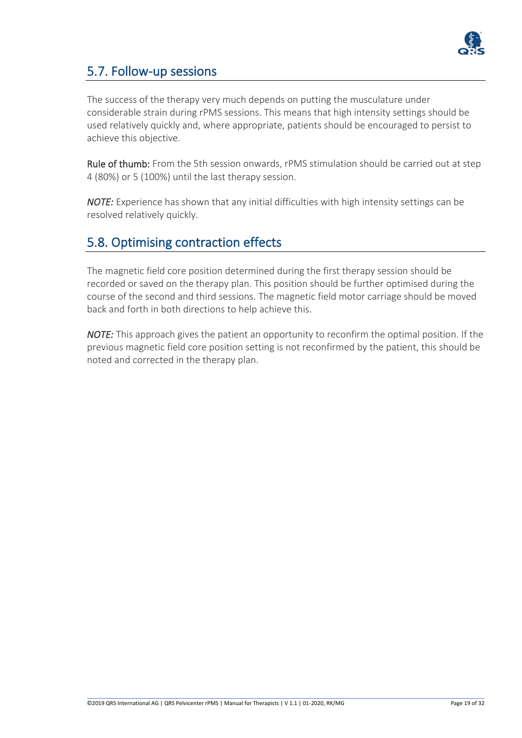

### 5.7. Follow-up sessions

The success of the therapy very much depends on putting the musculature under considerable strain during rPMS sessions. This means that high intensity settings should be used relatively quickly and, where appropriate, patients should be encouraged to persist to achieve this objective.

Rule of thumb: From the 5th session onwards, rPMS stimulation should be carried out at step 4 (80%) or 5 (100%) until the last therapy session.

*NOTE:* Experience has shown that any initial difficulties with high intensity settings can be resolved relatively quickly.

### 5.8. Optimising contraction effects

The magnetic field core position determined during the first therapy session should be recorded or saved on the therapy plan. This position should be further optimised during the course of the second and third sessions. The magnetic field motor carriage should be moved back and forth in both directions to help achieve this.

*NOTE:* This approach gives the patient an opportunity to reconfirm the optimal position. If the previous magnetic field core position setting is not reconfirmed by the patient, this should be noted and corrected in the therapy plan.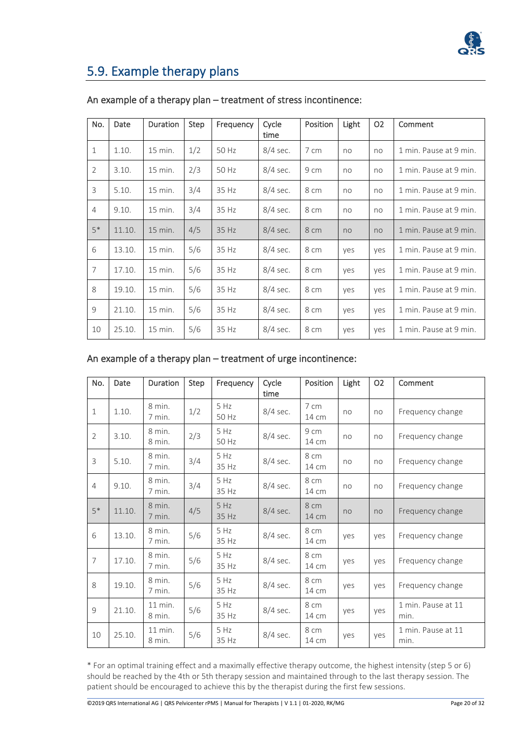

### 5.9. Example therapy plans

| No.            | Date   | <b>Duration</b> | Step | Frequency | Cycle<br>time | Position | Light          | O <sub>2</sub> | Comment                |
|----------------|--------|-----------------|------|-----------|---------------|----------|----------------|----------------|------------------------|
| $\mathbf{1}$   | 1.10.  | 15 min.         | 1/2  | 50 Hz     | $8/4$ sec.    | 7 cm     | no             | no             | 1 min. Pause at 9 min. |
| $\overline{2}$ | 3.10.  | 15 min.         | 2/3  | 50 Hz     | 8/4 sec.      | 9 cm     | no             | no             | 1 min. Pause at 9 min. |
| 3              | 5.10.  | 15 min.         | 3/4  | 35 Hz     | $8/4$ sec.    | 8 cm     | no             | no             | 1 min. Pause at 9 min. |
| $\overline{4}$ | 9.10.  | 15 min.         | 3/4  | 35 Hz     | 8/4 sec.      | 8 cm     | no             | no             | 1 min. Pause at 9 min. |
| $5*$           | 11.10. | 15 min.         | 4/5  | 35 Hz     | $8/4$ sec.    | 8 cm     | n <sub>O</sub> | no             | 1 min. Pause at 9 min. |
| 6              | 13.10. | 15 min.         | 5/6  | 35 Hz     | $8/4$ sec.    | 8 cm     | yes            | yes            | 1 min. Pause at 9 min. |
| $\overline{7}$ | 17.10. | 15 min.         | 5/6  | 35 Hz     | $8/4$ sec.    | 8 cm     | yes            | yes            | 1 min. Pause at 9 min. |
| 8              | 19.10. | 15 min.         | 5/6  | 35 Hz     | 8/4 sec.      | 8 cm     | yes            | yes            | 1 min. Pause at 9 min. |
| 9              | 21.10. | 15 min.         | 5/6  | 35 Hz     | $8/4$ sec.    | 8 cm     | yes            | yes            | 1 min. Pause at 9 min. |
| 10             | 25.10. | 15 min.         | 5/6  | 35 Hz     | $8/4$ sec.    | 8 cm     | yes            | yes            | 1 min. Pause at 9 min. |

#### An example of a therapy plan – treatment of stress incontinence:

#### An example of a therapy plan – treatment of urge incontinence:

| No.            | Date   | Duration            | Step | Frequency     | Cycle<br>time | Position      | Light | O <sub>2</sub> | Comment                    |
|----------------|--------|---------------------|------|---------------|---------------|---------------|-------|----------------|----------------------------|
| $\mathbf{1}$   | 1.10.  | 8 min.<br>7 min.    | 1/2  | 5 Hz<br>50 Hz | 8/4 sec.      | 7 cm<br>14 cm | no    | no             | Frequency change           |
| 2              | 3.10.  | 8 min.<br>8 min.    | 2/3  | 5 Hz<br>50 Hz | 8/4 sec.      | 9 cm<br>14 cm | no    | no             | Frequency change           |
| 3              | 5.10.  | 8 min.<br>7 min.    | 3/4  | 5 Hz<br>35 Hz | 8/4 sec.      | 8 cm<br>14 cm | no    | no             | Frequency change           |
| $\overline{4}$ | 9.10.  | 8 min.<br>7 min.    | 3/4  | 5 Hz<br>35 Hz | 8/4 sec.      | 8 cm<br>14 cm | no    | no             | Frequency change           |
| $5*$           | 11.10. | 8 min.<br>7 min.    | 4/5  | 5 Hz<br>35 Hz | 8/4 sec.      | 8 cm<br>14 cm | no    | no             | Frequency change           |
| 6              | 13.10. | 8 min.<br>7 min.    | 5/6  | 5 Hz<br>35 Hz | 8/4 sec.      | 8 cm<br>14 cm | yes   | ves            | Frequency change           |
| $\overline{7}$ | 17.10. | 8 min.<br>7 min.    | 5/6  | 5 Hz<br>35 Hz | 8/4 sec.      | 8 cm<br>14 cm | yes   | yes            | Frequency change           |
| 8              | 19.10. | 8 min.<br>7 min.    | 5/6  | 5 Hz<br>35 Hz | 8/4 sec.      | 8 cm<br>14 cm | yes   | ves            | Frequency change           |
| 9              | 21.10. | $11$ min.<br>8 min. | 5/6  | 5 Hz<br>35 Hz | 8/4 sec.      | 8 cm<br>14 cm | yes   | yes            | 1 min. Pause at 11<br>min. |
| 10             | 25.10. | $11$ min.<br>8 min. | 5/6  | 5 Hz<br>35 Hz | 8/4 sec.      | 8 cm<br>14 cm | yes   | yes            | 1 min. Pause at 11<br>min. |

\* For an optimal training effect and a maximally effective therapy outcome, the highest intensity (step 5 or 6) should be reached by the 4th or 5th therapy session and maintained through to the last therapy session. The patient should be encouraged to achieve this by the therapist during the first few sessions.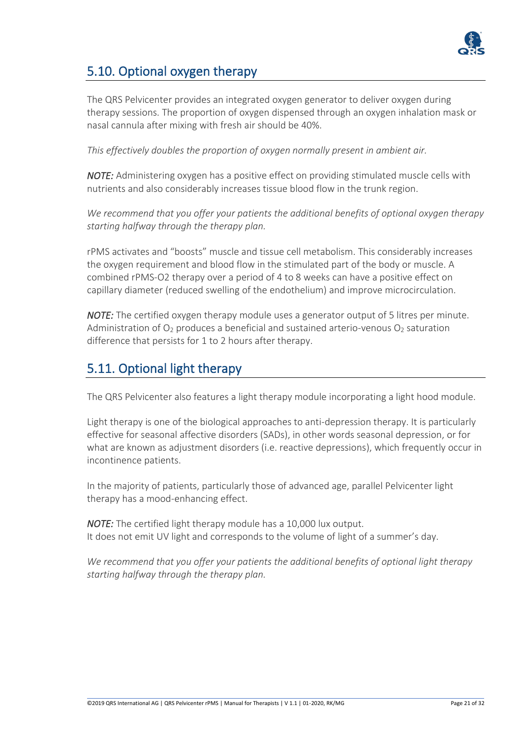

### 5.10. Optional oxygen therapy

The QRS Pelvicenter provides an integrated oxygen generator to deliver oxygen during therapy sessions. The proportion of oxygen dispensed through an oxygen inhalation mask or nasal cannula after mixing with fresh air should be 40%.

*This effectively doubles the proportion of oxygen normally present in ambient air.* 

*NOTE:* Administering oxygen has a positive effect on providing stimulated muscle cells with nutrients and also considerably increases tissue blood flow in the trunk region.

*We recommend that you offer your patients the additional benefits of optional oxygen therapy starting halfway through the therapy plan.* 

rPMS activates and "boosts" muscle and tissue cell metabolism. This considerably increases the oxygen requirement and blood flow in the stimulated part of the body or muscle. A combined rPMS-O2 therapy over a period of 4 to 8 weeks can have a positive effect on capillary diameter (reduced swelling of the endothelium) and improve microcirculation.

*NOTE:* The certified oxygen therapy module uses a generator output of 5 litres per minute. Administration of  $O_2$  produces a beneficial and sustained arterio-venous  $O_2$  saturation difference that persists for 1 to 2 hours after therapy.

### 5.11. Optional light therapy

The QRS Pelvicenter also features a light therapy module incorporating a light hood module.

Light therapy is one of the biological approaches to anti-depression therapy. It is particularly effective for seasonal affective disorders (SADs), in other words seasonal depression, or for what are known as adjustment disorders (i.e. reactive depressions), which frequently occur in incontinence patients.

In the majority of patients, particularly those of advanced age, parallel Pelvicenter light therapy has a mood-enhancing effect.

*NOTE:* The certified light therapy module has a 10,000 lux output. It does not emit UV light and corresponds to the volume of light of a summer's day.

*We recommend that you offer your patients the additional benefits of optional light therapy starting halfway through the therapy plan.*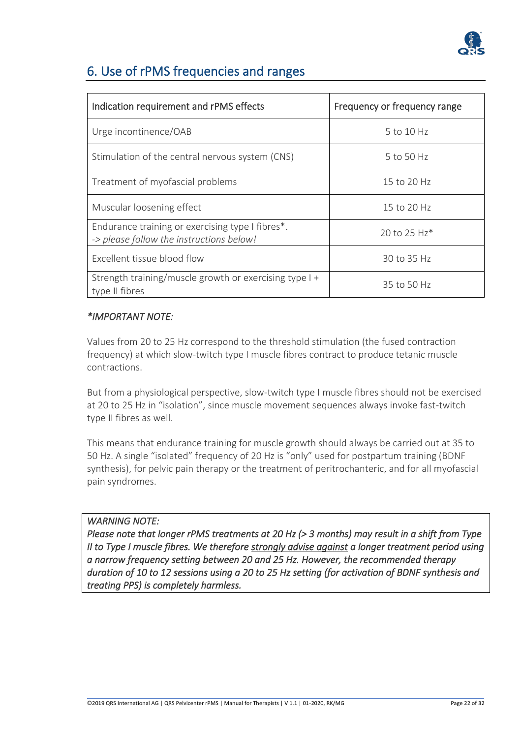

### 6. Use of rPMS frequencies and ranges

| Indication requirement and rPMS effects                                                      | Frequency or frequency range |  |  |
|----------------------------------------------------------------------------------------------|------------------------------|--|--|
| Urge incontinence/OAB                                                                        | 5 to 10 Hz                   |  |  |
| Stimulation of the central nervous system (CNS)                                              | 5 to 50 Hz                   |  |  |
| Treatment of myofascial problems                                                             | 15 to 20 Hz                  |  |  |
| Muscular loosening effect                                                                    | 15 to 20 Hz                  |  |  |
| Endurance training or exercising type I fibres*.<br>-> please follow the instructions below! | 20 to 25 Hz*                 |  |  |
| Excellent tissue blood flow                                                                  | 30 to 35 Hz                  |  |  |
| Strength training/muscle growth or exercising type I +<br>type II fibres                     | 35 to 50 Hz                  |  |  |

#### *\*IMPORTANT NOTE:*

Values from 20 to 25 Hz correspond to the threshold stimulation (the fused contraction frequency) at which slow-twitch type I muscle fibres contract to produce tetanic muscle contractions.

But from a physiological perspective, slow-twitch type I muscle fibres should not be exercised at 20 to 25 Hz in "isolation", since muscle movement sequences always invoke fast-twitch type II fibres as well.

This means that endurance training for muscle growth should always be carried out at 35 to 50 Hz. A single "isolated" frequency of 20 Hz is "only" used for postpartum training (BDNF synthesis), for pelvic pain therapy or the treatment of peritrochanteric, and for all myofascial pain syndromes.

#### *WARNING NOTE:*

*Please note that longer rPMS treatments at 20 Hz (> 3 months) may result in a shift from Type II to Type I muscle fibres. We therefore strongly advise against a longer treatment period using a narrow frequency setting between 20 and 25 Hz. However, the recommended therapy duration of 10 to 12 sessions using a 20 to 25 Hz setting (for activation of BDNF synthesis and treating PPS) is completely harmless.*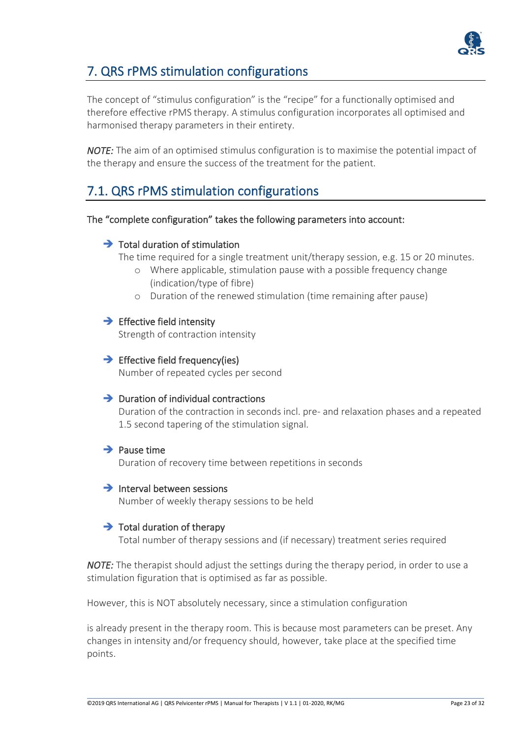

### 7. QRS rPMS stimulation configurations

The concept of "stimulus configuration" is the "recipe" for a functionally optimised and therefore effective rPMS therapy. A stimulus configuration incorporates all optimised and harmonised therapy parameters in their entirety.

*NOTE:* The aim of an optimised stimulus configuration is to maximise the potential impact of the therapy and ensure the success of the treatment for the patient.

### 7.1. QRS rPMS stimulation configurations

#### The "complete configuration" takes the following parameters into account:

#### $\rightarrow$  Total duration of stimulation

The time required for a single treatment unit/therapy session, e.g. 15 or 20 minutes.

- o Where applicable, stimulation pause with a possible frequency change (indication/type of fibre)
- o Duration of the renewed stimulation (time remaining after pause)

#### $\rightarrow$  Effective field intensity

Strength of contraction intensity

#### $\rightarrow$  Effective field frequency(ies)

Number of repeated cycles per second

#### $\rightarrow$  Duration of individual contractions

Duration of the contraction in seconds incl. pre- and relaxation phases and a repeated 1.5 second tapering of the stimulation signal.

#### $\rightarrow$  Pause time

Duration of recovery time between repetitions in seconds

#### $\rightarrow$  Interval between sessions

Number of weekly therapy sessions to be held

#### $\rightarrow$  Total duration of therapy

Total number of therapy sessions and (if necessary) treatment series required

*NOTE:* The therapist should adjust the settings during the therapy period, in order to use a stimulation figuration that is optimised as far as possible.

However, this is NOT absolutely necessary, since a stimulation configuration

is already present in the therapy room. This is because most parameters can be preset. Any changes in intensity and/or frequency should, however, take place at the specified time points.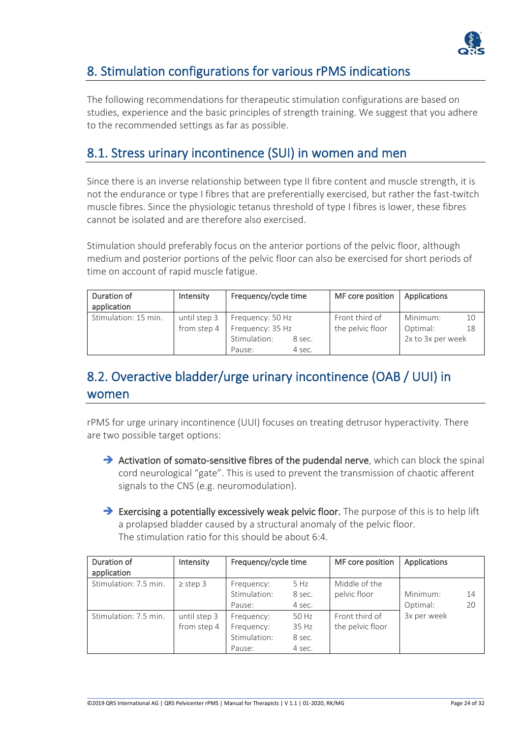

### 8. Stimulation configurations for various rPMS indications

The following recommendations for therapeutic stimulation configurations are based on studies, experience and the basic principles of strength training. We suggest that you adhere to the recommended settings as far as possible.

### 8.1. Stress urinary incontinence (SUI) in women and men

Since there is an inverse relationship between type II fibre content and muscle strength, it is not the endurance or type I fibres that are preferentially exercised, but rather the fast-twitch muscle fibres. Since the physiologic tetanus threshold of type I fibres is lower, these fibres cannot be isolated and are therefore also exercised.

Stimulation should preferably focus on the anterior portions of the pelvic floor, although medium and posterior portions of the pelvic floor can also be exercised for short periods of time on account of rapid muscle fatigue.

| Duration of<br>application | Intensity    | Frequency/cycle time |        | MF core position | Applications      |    |
|----------------------------|--------------|----------------------|--------|------------------|-------------------|----|
| Stimulation: 15 min.       | until step 3 | Frequency: 50 Hz     |        | Front third of   | Minimum:          | 10 |
|                            | from step 4  | Frequency: 35 Hz     |        | the pelvic floor | Optimal:          | 18 |
|                            |              | Stimulation:         | 8 sec. |                  | 2x to 3x per week |    |
|                            |              | Pause:               | 4 sec. |                  |                   |    |

### 8.2. Overactive bladder/urge urinary incontinence (OAB / UUI) in women

rPMS for urge urinary incontinence (UUI) focuses on treating detrusor hyperactivity. There are two possible target options:

- → Activation of somato-sensitive fibres of the pudendal nerve, which can block the spinal cord neurological "gate". This is used to prevent the transmission of chaotic afferent signals to the CNS (e.g. neuromodulation).
- ➔ Exercising a potentially excessively weak pelvic floor. The purpose of this is to help lift a prolapsed bladder caused by a structural anomaly of the pelvic floor. The stimulation ratio for this should be about 6:4.

| Duration of<br>application | Intensity                   | Frequency/cycle time                               |                                    | MF core position                   | Applications         |          |
|----------------------------|-----------------------------|----------------------------------------------------|------------------------------------|------------------------------------|----------------------|----------|
| Stimulation: 7.5 min.      | $\ge$ step 3                | Frequency:<br>Stimulation:<br>Pause:               | 5 Hz<br>8 sec.<br>4 sec.           | Middle of the<br>pelvic floor      | Minimum:<br>Optimal: | 14<br>20 |
| Stimulation: 7.5 min.      | until step 3<br>from step 4 | Frequency:<br>Frequency:<br>Stimulation:<br>Pause: | 50 Hz<br>35 Hz<br>8 sec.<br>4 sec. | Front third of<br>the pelvic floor | 3x per week          |          |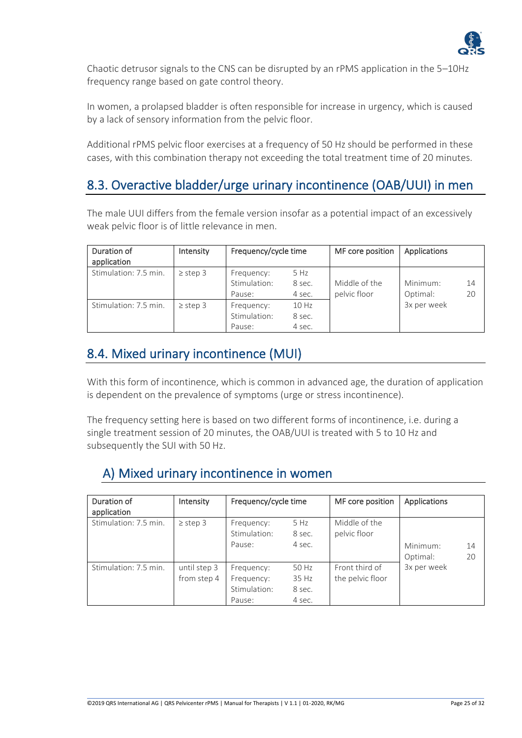

Chaotic detrusor signals to the CNS can be disrupted by an rPMS application in the 5–10Hz frequency range based on gate control theory.

In women, a prolapsed bladder is often responsible for increase in urgency, which is caused by a lack of sensory information from the pelvic floor.

Additional rPMS pelvic floor exercises at a frequency of 50 Hz should be performed in these cases, with this combination therapy not exceeding the total treatment time of 20 minutes.

### 8.3. Overactive bladder/urge urinary incontinence (OAB/UUI) in men

The male UUI differs from the female version insofar as a potential impact of an excessively weak pelvic floor is of little relevance in men.

| Duration of<br>application | Intensity    | Frequency/cycle time                 |                           | MF core position              | Applications         |          |
|----------------------------|--------------|--------------------------------------|---------------------------|-------------------------------|----------------------|----------|
| Stimulation: 7.5 min.      | $\ge$ step 3 | Frequency:<br>Stimulation:<br>Pause: | 5 Hz<br>8 sec.<br>4 sec.  | Middle of the<br>pelvic floor | Minimum:<br>Optimal: | 14<br>20 |
| Stimulation: 7.5 min.      | $\ge$ step 3 | Frequency:<br>Stimulation:<br>Pause: | 10 Hz<br>8 sec.<br>4 sec. |                               | 3x per week          |          |

### 8.4. Mixed urinary incontinence (MUI)

With this form of incontinence, which is common in advanced age, the duration of application is dependent on the prevalence of symptoms (urge or stress incontinence).

The frequency setting here is based on two different forms of incontinence, i.e. during a single treatment session of 20 minutes, the OAB/UUI is treated with 5 to 10 Hz and subsequently the SUI with 50 Hz.

### A) Mixed urinary incontinence in women

| Duration of<br>application | Intensity                   | Frequency/cycle time                               |                                    | MF core position                   | Applications         |          |
|----------------------------|-----------------------------|----------------------------------------------------|------------------------------------|------------------------------------|----------------------|----------|
| Stimulation: 7.5 min.      | $\ge$ step 3                | Frequency:<br>Stimulation:<br>Pause:               | 5 Hz<br>8 sec.<br>4 sec.           | Middle of the<br>pelvic floor      | Minimum:<br>Optimal: | 14<br>20 |
| Stimulation: 7.5 min.      | until step 3<br>from step 4 | Frequency:<br>Frequency:<br>Stimulation:<br>Pause: | 50 Hz<br>35 Hz<br>8 sec.<br>4 sec. | Front third of<br>the pelvic floor | 3x per week          |          |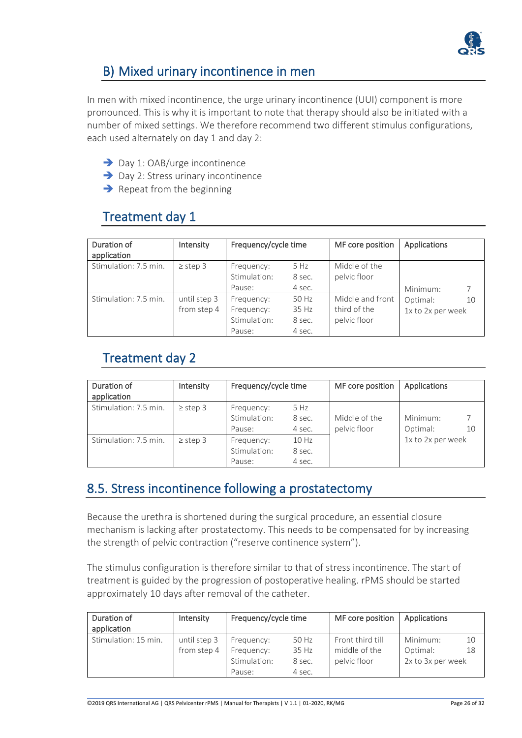

### B) Mixed urinary incontinence in men

In men with mixed incontinence, the urge urinary incontinence (UUI) component is more pronounced. This is why it is important to note that therapy should also be initiated with a number of mixed settings. We therefore recommend two different stimulus configurations, each used alternately on day 1 and day 2:

- ➔ Day 1: OAB/urge incontinence
- **→** Day 2: Stress urinary incontinence
- $\rightarrow$  Repeat from the beginning

### Treatment day 1

| Duration of<br>application | Intensity    | Frequency/cycle time       |                | MF core position              | Applications      |    |
|----------------------------|--------------|----------------------------|----------------|-------------------------------|-------------------|----|
| Stimulation: 7.5 min.      | $\ge$ step 3 | Frequency:<br>Stimulation: | 5 Hz<br>8 sec. | Middle of the<br>pelvic floor |                   |    |
|                            |              | Pause:                     | 4 sec.         |                               | Minimum:          |    |
| Stimulation: 7.5 min.      | until step 3 | Frequency:                 | 50 Hz          | Middle and front              | Optimal:          | 10 |
|                            | from step 4  | Frequency:                 | 35 Hz          | third of the                  | 1x to 2x per week |    |
|                            |              | Stimulation:               | 8 sec.         | pelvic floor                  |                   |    |
|                            |              | Pause:                     | 4 sec.         |                               |                   |    |

### Treatment day 2

| Duration of<br>application | Intensity    | Frequency/cycle time                 |                           | MF core position              | Applications                    |
|----------------------------|--------------|--------------------------------------|---------------------------|-------------------------------|---------------------------------|
| Stimulation: 7.5 min.      | $\ge$ step 3 | Frequency:<br>Stimulation:<br>Pause: | 5 Hz<br>8 sec.<br>4 sec.  | Middle of the<br>pelvic floor | Minimum:<br>7<br>Optimal:<br>10 |
| Stimulation: 7.5 min.      | $\ge$ step 3 | Frequency:<br>Stimulation:<br>Pause: | 10 Hz<br>8 sec.<br>4 sec. |                               | 1x to 2x per week               |

### 8.5. Stress incontinence following a prostatectomy

Because the urethra is shortened during the surgical procedure, an essential closure mechanism is lacking after prostatectomy. This needs to be compensated for by increasing the strength of pelvic contraction ("reserve continence system").

The stimulus configuration is therefore similar to that of stress incontinence. The start of treatment is guided by the progression of postoperative healing. rPMS should be started approximately 10 days after removal of the catheter.

| Duration of<br>application | Intensity                   | Frequency/cycle time                               |                                    | MF core position                                  | Applications                              |          |
|----------------------------|-----------------------------|----------------------------------------------------|------------------------------------|---------------------------------------------------|-------------------------------------------|----------|
| Stimulation: 15 min.       | until step 3<br>from step 4 | Frequency:<br>Frequency:<br>Stimulation:<br>Pause: | 50 Hz<br>35 Hz<br>8 sec.<br>4 sec. | Front third till<br>middle of the<br>pelvic floor | Minimum:<br>Optimal:<br>2x to 3x per week | 10<br>18 |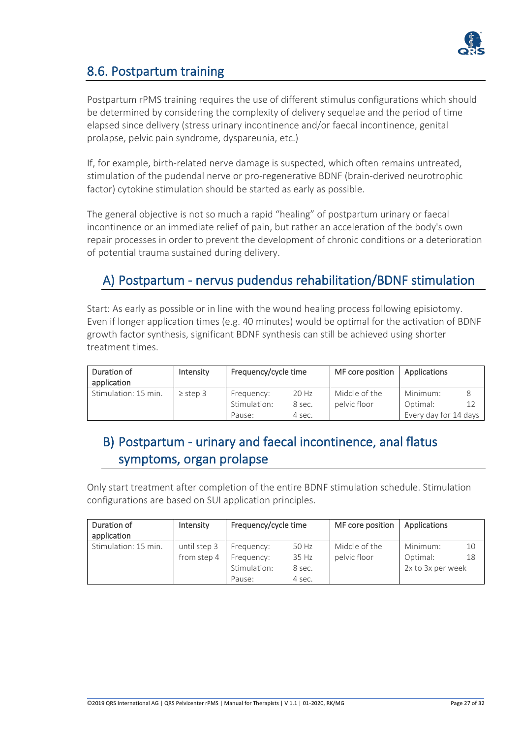

### 8.6. Postpartum training

Postpartum rPMS training requires the use of different stimulus configurations which should be determined by considering the complexity of delivery sequelae and the period of time elapsed since delivery (stress urinary incontinence and/or faecal incontinence, genital prolapse, pelvic pain syndrome, dyspareunia, etc.)

If, for example, birth-related nerve damage is suspected, which often remains untreated, stimulation of the pudendal nerve or pro-regenerative BDNF (brain-derived neurotrophic factor) cytokine stimulation should be started as early as possible.

The general objective is not so much a rapid "healing" of postpartum urinary or faecal incontinence or an immediate relief of pain, but rather an acceleration of the body's own repair processes in order to prevent the development of chronic conditions or a deterioration of potential trauma sustained during delivery.

### A) Postpartum - nervus pudendus rehabilitation/BDNF stimulation

Start: As early as possible or in line with the wound healing process following episiotomy. Even if longer application times (e.g. 40 minutes) would be optimal for the activation of BDNF growth factor synthesis, significant BDNF synthesis can still be achieved using shorter treatment times.

| Duration of<br>application | Intensity    | Frequency/cycle time |        | MF core position | Applications          |  |
|----------------------------|--------------|----------------------|--------|------------------|-----------------------|--|
| Stimulation: 15 min.       | $\ge$ step 3 | Frequency:           | 20 Hz  | Middle of the    | Minimum:              |  |
|                            |              | Stimulation:         | 8 sec. | pelvic floor     | Optimal:              |  |
|                            |              | Pause:               | 4 sec. |                  | Every day for 14 days |  |

### B) Postpartum - urinary and faecal incontinence, anal flatus symptoms, organ prolapse

Only start treatment after completion of the entire BDNF stimulation schedule. Stimulation configurations are based on SUI application principles.

| Duration of<br>application | Intensity                   | Frequency/cycle time     |                  | MF core position              | Applications         |          |
|----------------------------|-----------------------------|--------------------------|------------------|-------------------------------|----------------------|----------|
| Stimulation: 15 min.       | until step 3<br>from step 4 | Frequency:<br>Frequency: | 50 Hz<br>35 Hz   | Middle of the<br>pelvic floor | Minimum:<br>Optimal: | 10<br>18 |
|                            |                             | Stimulation:<br>Pause:   | 8 sec.<br>4 sec. |                               | 2x to 3x per week    |          |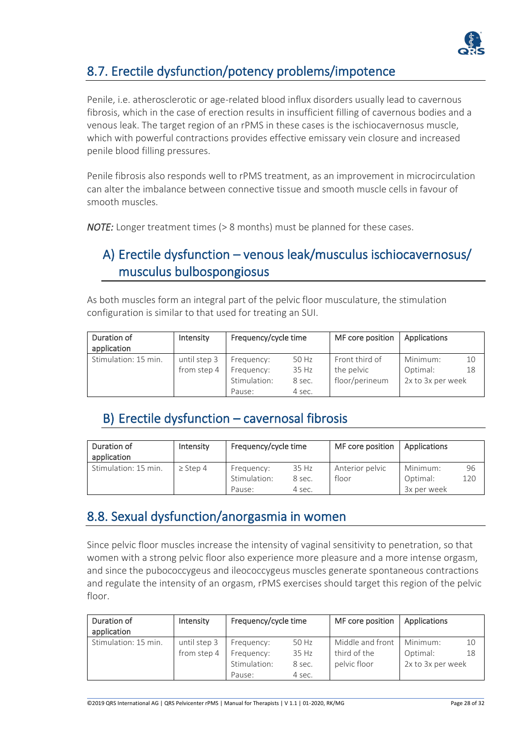

### 8.7. Erectile dysfunction/potency problems/impotence

Penile, i.e. atherosclerotic or age-related blood influx disorders usually lead to cavernous fibrosis, which in the case of erection results in insufficient filling of cavernous bodies and a venous leak. The target region of an rPMS in these cases is the ischiocavernosus muscle, which with powerful contractions provides effective emissary vein closure and increased penile blood filling pressures.

Penile fibrosis also responds well to rPMS treatment, as an improvement in microcirculation can alter the imbalance between connective tissue and smooth muscle cells in favour of smooth muscles.

*NOTE:* Longer treatment times (> 8 months) must be planned for these cases.

### A) Erectile dysfunction – venous leak/musculus ischiocavernosus/ musculus bulbospongiosus

As both muscles form an integral part of the pelvic floor musculature, the stimulation configuration is similar to that used for treating an SUI.

| Duration of<br>application | Intensity    | Frequency/cycle time |        | MF core position | Applications      |    |
|----------------------------|--------------|----------------------|--------|------------------|-------------------|----|
| Stimulation: 15 min.       | until step 3 | Frequency:           | 50 Hz  | Front third of   | Minimum:          | 10 |
|                            | from step 4  | Frequency:           | 35 Hz  | the pelvic       | Optimal:          | 18 |
|                            |              | Stimulation:         | 8 sec. | floor/perineum   | 2x to 3x per week |    |
|                            |              | Pause:               | 4 sec. |                  |                   |    |

### B) Erectile dysfunction – cavernosal fibrosis

| Duration of<br>application | Intensity    | Frequency/cycle time |        | MF core position | Applications |     |
|----------------------------|--------------|----------------------|--------|------------------|--------------|-----|
| Stimulation: 15 min.       | $\ge$ Step 4 | Frequency:           | 35 Hz  | Anterior pelvic  | Minimum:     | 96  |
|                            |              | Stimulation:         | 8 sec. | floor            | Optimal:     | 120 |
|                            |              | Pause:               | 4 sec. |                  | 3x per week  |     |

### 8.8. Sexual dysfunction/anorgasmia in women

Since pelvic floor muscles increase the intensity of vaginal sensitivity to penetration, so that women with a strong pelvic floor also experience more pleasure and a more intense orgasm, and since the pubococcygeus and ileococcygeus muscles generate spontaneous contractions and regulate the intensity of an orgasm, rPMS exercises should target this region of the pelvic floor.

| Duration of<br>application | Intensity    | Frequency/cycle time |        | MF core position | Applications      |    |
|----------------------------|--------------|----------------------|--------|------------------|-------------------|----|
| Stimulation: 15 min.       | until step 3 | Frequency:           | 50 Hz  | Middle and front | Minimum:          | 10 |
|                            | from step 4  | Frequency:           | 35 Hz  | third of the     | Optimal:          | 18 |
|                            |              | Stimulation:         | 8 sec. | pelvic floor     | 2x to 3x per week |    |
|                            |              | Pause:               | 4 sec. |                  |                   |    |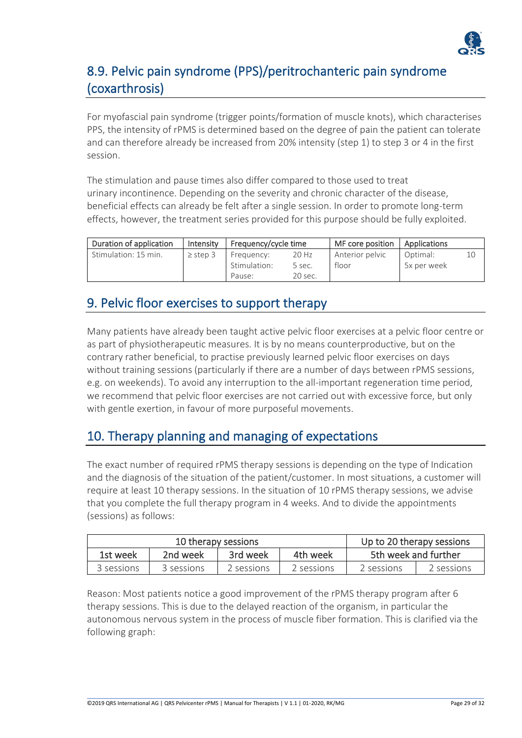

### 8.9. Pelvic pain syndrome (PPS)/peritrochanteric pain syndrome (coxarthrosis)

For myofascial pain syndrome (trigger points/formation of muscle knots), which characterises PPS, the intensity of rPMS is determined based on the degree of pain the patient can tolerate and can therefore already be increased from 20% intensity (step 1) to step 3 or 4 in the first session.

The stimulation and pause times also differ compared to those used to treat urinary incontinence. Depending on the severity and chronic character of the disease, beneficial effects can already be felt after a single session. In order to promote long-term effects, however, the treatment series provided for this purpose should be fully exploited.

| Duration of application | Intensity    | Frequency/cycle time |         | MF core position | Applications |    |
|-------------------------|--------------|----------------------|---------|------------------|--------------|----|
| Stimulation: 15 min.    | $\ge$ step 3 | Frequency:           | 20 Hz   | Anterior pelvic  | Optimal:     | 10 |
|                         |              | Stimulation:         | 5 sec.  | floor            | 5x per week  |    |
|                         |              | Pause:               | 20 sec. |                  |              |    |

### 9. Pelvic floor exercises to support therapy

Many patients have already been taught active pelvic floor exercises at a pelvic floor centre or as part of physiotherapeutic measures. It is by no means counterproductive, but on the contrary rather beneficial, to practise previously learned pelvic floor exercises on days without training sessions (particularly if there are a number of days between rPMS sessions, e.g. on weekends). To avoid any interruption to the all-important regeneration time period, we recommend that pelvic floor exercises are not carried out with excessive force, but only with gentle exertion, in favour of more purposeful movements.

### 10. Therapy planning and managing of expectations

The exact number of required rPMS therapy sessions is depending on the type of Indication and the diagnosis of the situation of the patient/customer. In most situations, a customer will require at least 10 therapy sessions. In the situation of 10 rPMS therapy sessions, we advise that you complete the full therapy program in 4 weeks. And to divide the appointments (sessions) as follows:

|                                              | 10 therapy sessions |             | Up to 20 therapy sessions |            |            |
|----------------------------------------------|---------------------|-------------|---------------------------|------------|------------|
| 3rd week<br>4th week<br>2nd week<br>1st week |                     |             | 5th week and further      |            |            |
| 3 sessions                                   | 3 sessions          | 2 sessions. | 2 sessions.               | 2 sessions | 2 sessions |

Reason: Most patients notice a good improvement of the rPMS therapy program after 6 therapy sessions. This is due to the delayed reaction of the organism, in particular the autonomous nervous system in the process of muscle fiber formation. This is clarified via the following graph: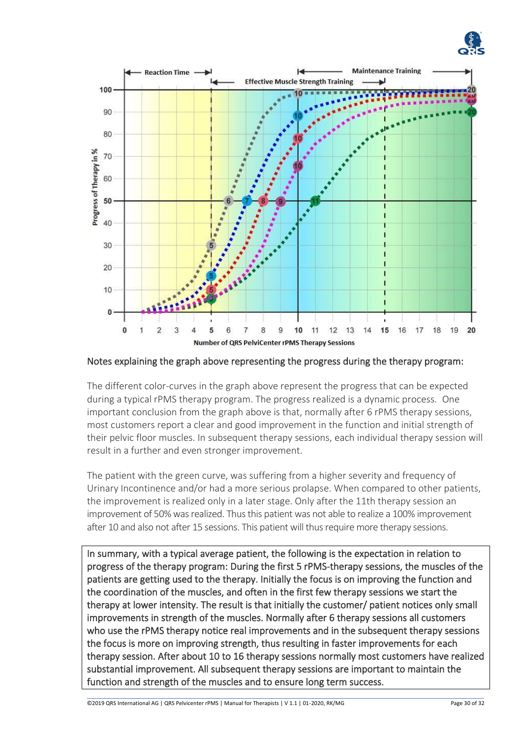



Notes explaining the graph above representing the progress during the therapy program:

The different color-curves in the graph above represent the progress that can be expected during a typical rPMS therapy program. The progress realized is a dynamic process. One important conclusion from the graph above is that, normally after 6 rPMS therapy sessions, most customers report a clear and good improvement in the function and initial strength of their pelvic floor muscles. In subsequent therapy sessions, each individual therapy session will result in a further and even stronger improvement.

The patient with the green curve, was suffering from a higher severity and frequency of Urinary Incontinence and/or had a more serious prolapse. When compared to other patients, the improvement is realized only in a later stage. Only after the 11th therapy session an improvement of 50% was realized. Thus this patient was not able to realize a 100% improvement after 10 and also not after 15 sessions. This patient will thus require more therapy sessions.

In summary, with a typical average patient, the following is the expectation in relation to progress of the therapy program: During the first 5 rPMS-therapy sessions, the muscles of the patients are getting used to the therapy. Initially the focus is on improving the function and the coordination of the muscles, and often in the first few therapy sessions we start the therapy at lower intensity. The result is that initially the customer/ patient notices only small improvements in strength of the muscles. Normally after 6 therapy sessions all customers who use the rPMS therapy notice real improvements and in the subsequent therapy sessions the focus is more on improving strength, thus resulting in faster improvements for each therapy session. After about 10 to 16 therapy sessions normally most customers have realized substantial improvement. All subsequent therapy sessions are important to maintain the function and strength of the muscles and to ensure long term success.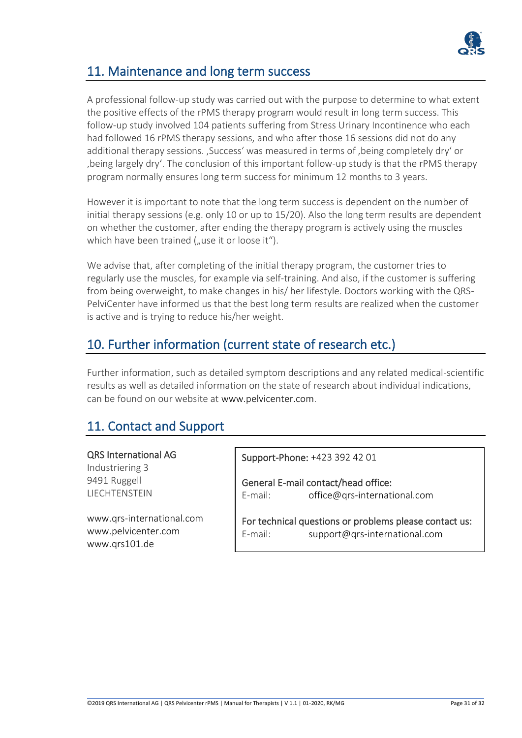

### 11. Maintenance and long term success

A professional follow-up study was carried out with the purpose to determine to what extent the positive effects of the rPMS therapy program would result in long term success. This follow-up study involved 104 patients suffering from Stress Urinary Incontinence who each had followed 16 rPMS therapy sessions, and who after those 16 sessions did not do any additional therapy sessions. , Success' was measured in terms of , being completely dry' or 'being largely dry'. The conclusion of this important follow-up study is that the rPMS therapy program normally ensures long term success for minimum 12 months to 3 years.

However it is important to note that the long term success is dependent on the number of initial therapy sessions (e.g. only 10 or up to 15/20). Also the long term results are dependent on whether the customer, after ending the therapy program is actively using the muscles which have been trained ("use it or loose it").

We advise that, after completing of the initial therapy program, the customer tries to regularly use the muscles, for example via self-training. And also, if the customer is suffering from being overweight, to make changes in his/ her lifestyle. Doctors working with the QRS-PelviCenter have informed us that the best long term results are realized when the customer is active and is trying to reduce his/her weight.

### 10. Further information (current state of research etc.)

Further information, such as detailed symptom descriptions and any related medical-scientific results as well as detailed information on the state of research about individual indications, can be found on our website at www.pelvicenter.com.

### 11. Contact and Support

#### QRS International AG

Industriering 3 9491 Ruggell LIECHTENSTEIN

[www.qrs-international.com](http://www.qrs-international.com/) [www.pelvicenter.com](http://www.pelvicenter.com/) [www.qrs101.de](http://www.qrs101.de/)

Support-Phone: +423 392 42 01

General E-mail contact/head office: E-mail: office@qrs-international.com

For technical questions or problems please contact us: E-mail: support@qrs-international.com